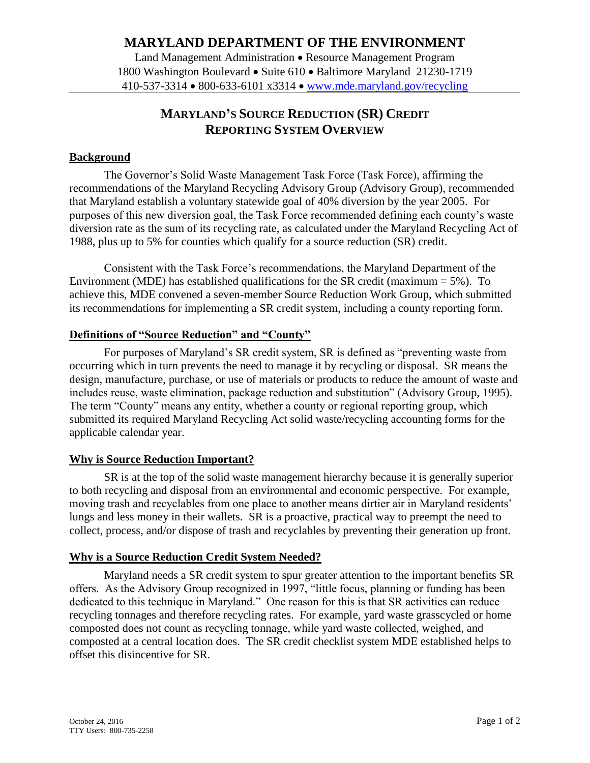## **MARYLAND DEPARTMENT OF THE ENVIRONMENT**

Land Management Administration • Resource Management Program 1800 Washington Boulevard • Suite 610 • Baltimore Maryland 21230-1719 410-537-3314 800-633-6101 x3314 www.mde.maryland.gov/recycling

# **MARYLAND'S SOURCE REDUCTION (SR) CREDIT REPORTING SYSTEM OVERVIEW**

#### **Background**

The Governor's Solid Waste Management Task Force (Task Force), affirming the recommendations of the Maryland Recycling Advisory Group (Advisory Group), recommended that Maryland establish a voluntary statewide goal of 40% diversion by the year 2005. For purposes of this new diversion goal, the Task Force recommended defining each county's waste diversion rate as the sum of its recycling rate, as calculated under the Maryland Recycling Act of 1988, plus up to 5% for counties which qualify for a source reduction (SR) credit.

Consistent with the Task Force's recommendations, the Maryland Department of the Environment (MDE) has established qualifications for the SR credit (maximum  $= 5\%$ ). To achieve this, MDE convened a seven-member Source Reduction Work Group, which submitted its recommendations for implementing a SR credit system, including a county reporting form.

### **Definitions of "Source Reduction" and "County"**

For purposes of Maryland's SR credit system, SR is defined as "preventing waste from occurring which in turn prevents the need to manage it by recycling or disposal. SR means the design, manufacture, purchase, or use of materials or products to reduce the amount of waste and includes reuse, waste elimination, package reduction and substitution" (Advisory Group, 1995). The term "County" means any entity, whether a county or regional reporting group, which submitted its required Maryland Recycling Act solid waste/recycling accounting forms for the applicable calendar year.

#### **Why is Source Reduction Important?**

SR is at the top of the solid waste management hierarchy because it is generally superior to both recycling and disposal from an environmental and economic perspective. For example, moving trash and recyclables from one place to another means dirtier air in Maryland residents' lungs and less money in their wallets. SR is a proactive, practical way to preempt the need to collect, process, and/or dispose of trash and recyclables by preventing their generation up front.

#### **Why is a Source Reduction Credit System Needed?**

Maryland needs a SR credit system to spur greater attention to the important benefits SR offers. As the Advisory Group recognized in 1997, "little focus, planning or funding has been dedicated to this technique in Maryland." One reason for this is that SR activities can reduce recycling tonnages and therefore recycling rates. For example, yard waste grasscycled or home composted does not count as recycling tonnage, while yard waste collected, weighed, and composted at a central location does. The SR credit checklist system MDE established helps to offset this disincentive for SR.